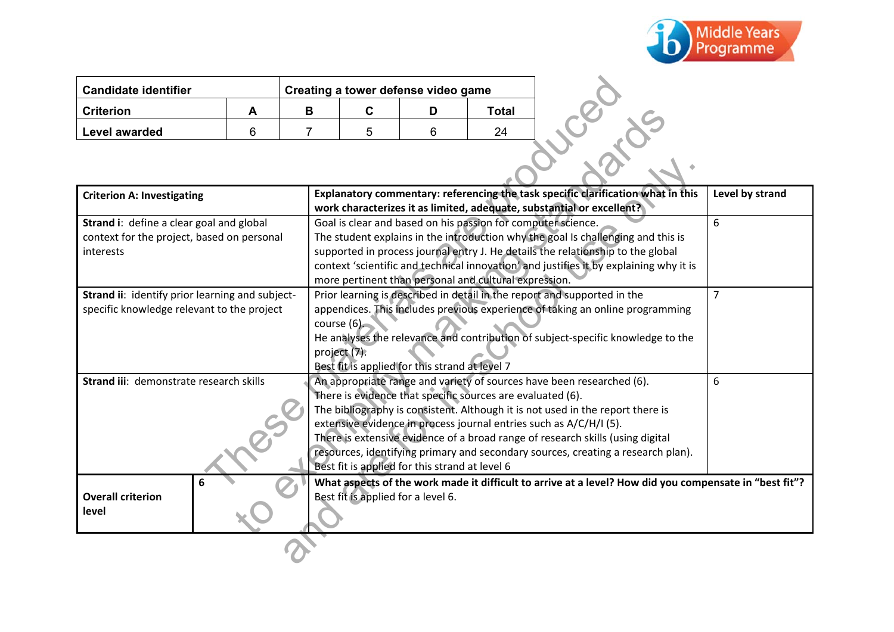

| <b>Candidate identifier</b> |   |   |   | Creating a tower defense video game |       |                                                                                  |
|-----------------------------|---|---|---|-------------------------------------|-------|----------------------------------------------------------------------------------|
| <b>Criterion</b>            | А | В | С | D                                   | Total |                                                                                  |
| Level awarded               | 6 |   | 5 | 6                                   | 24    |                                                                                  |
|                             |   |   |   |                                     |       |                                                                                  |
| Critorian A: Invastigating  |   |   |   |                                     |       | Explanatory commentary: referencing the task specific clarification what in this |

| <b>Candidate identifier</b>                                                                         |   |   |                                                                                                              | Creating a tower defense video game                                                                                                                                                                                                                                                                                                                                                                      |              |                                                                                                        |
|-----------------------------------------------------------------------------------------------------|---|---|--------------------------------------------------------------------------------------------------------------|----------------------------------------------------------------------------------------------------------------------------------------------------------------------------------------------------------------------------------------------------------------------------------------------------------------------------------------------------------------------------------------------------------|--------------|--------------------------------------------------------------------------------------------------------|
| <b>Criterion</b>                                                                                    | A | B | $\mathbf{C}$                                                                                                 | D                                                                                                                                                                                                                                                                                                                                                                                                        | <b>Total</b> |                                                                                                        |
| Level awarded                                                                                       | 6 | 7 | 5                                                                                                            | 6                                                                                                                                                                                                                                                                                                                                                                                                        | 24           |                                                                                                        |
|                                                                                                     |   |   |                                                                                                              |                                                                                                                                                                                                                                                                                                                                                                                                          |              | COMME                                                                                                  |
| <b>Criterion A: Investigating</b>                                                                   |   |   |                                                                                                              | Explanatory commentary: referencing the task specific clarification what in this<br>Level by strand<br>work characterizes it as limited, adequate, substantial or excellent?                                                                                                                                                                                                                             |              |                                                                                                        |
| Strand i: define a clear goal and global<br>context for the project, based on personal<br>interests |   |   | more pertinent than personal and cultural expression.                                                        | Goal is clear and based on his passion for computer science.<br>6<br>The student explains in the introduction why the goal Is challenging and this is<br>supported in process journal entry J. He details the relationship to the global<br>context 'scientific and technical innovation' and justifies it by explaining why it is                                                                       |              |                                                                                                        |
| Strand ii: identify prior learning and subject-<br>specific knowledge relevant to the project       |   |   | course (6).<br>project (7).<br>Best fit is applied for this strand at level 7                                | Prior learning is described in detail in the report and supported in the<br>$\overline{7}$<br>appendices. This includes previous experience of taking an online programming<br>He analyses the relevance and contribution of subject-specific knowledge to the                                                                                                                                           |              |                                                                                                        |
| Strand iii: demonstrate research skills                                                             |   |   | There is evidence that specific sources are evaluated (6).<br>Best fit is applied for this strand at level 6 | An appropriate range and variety of sources have been researched (6).<br>6<br>The bibliography is consistent. Although it is not used in the report there is<br>extensive evidence in process journal entries such as A/C/H/I (5).<br>There is extensive evidence of a broad range of research skills (using digital<br>resources, identifying primary and secondary sources, creating a research plan). |              |                                                                                                        |
| 6<br><b>Overall criterion</b><br>level                                                              |   |   |                                                                                                              | Best fit is applied for a level 6.                                                                                                                                                                                                                                                                                                                                                                       |              | What aspects of the work made it difficult to arrive at a level? How did you compensate in "best fit"? |
|                                                                                                     |   |   |                                                                                                              |                                                                                                                                                                                                                                                                                                                                                                                                          |              |                                                                                                        |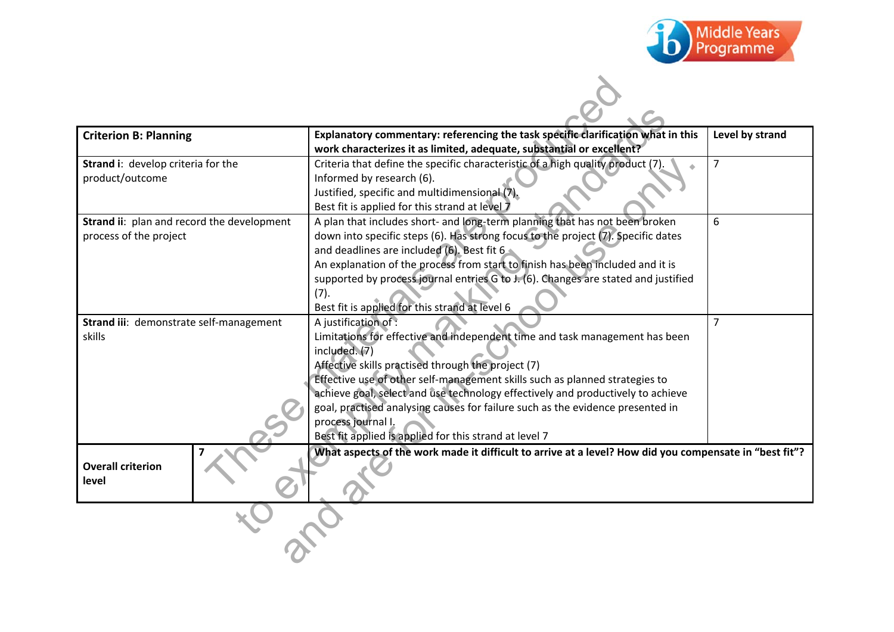

| <b>Criterion B: Planning</b>               | Explanatory commentary: referencing the task specific clarification what in this                       | Level by strand |
|--------------------------------------------|--------------------------------------------------------------------------------------------------------|-----------------|
|                                            | work characterizes it as limited, adequate, substantial or excellent?                                  |                 |
| Strand i: develop criteria for the         | Criteria that define the specific characteristic of a high quality product (7).                        | $\overline{7}$  |
| product/outcome                            | Informed by research (6).                                                                              |                 |
|                                            | Justified, specific and multidimensional (7).<br>Best fit is applied for this strand at level 7        |                 |
| Strand ii: plan and record the development | A plan that includes short- and long-term planning that has not been broken                            | 6               |
| process of the project                     | down into specific steps (6). Has strong focus to the project (7). Specific dates                      |                 |
|                                            | and deadlines are included (6). Best fit 6                                                             |                 |
|                                            | An explanation of the process from start to finish has been included and it is                         |                 |
|                                            | supported by process journal entries G to J. (6). Changes are stated and justified                     |                 |
|                                            | (7).                                                                                                   |                 |
|                                            | Best fit is applied for this strand at level 6                                                         |                 |
| Strand iii: demonstrate self-management    | A justification of :                                                                                   | $\overline{7}$  |
| skills                                     | Limitations for effective and independent time and task management has been                            |                 |
|                                            | included. $(7)$                                                                                        |                 |
|                                            | Affective skills practised through the project (7)                                                     |                 |
|                                            | Effective use of other self-management skills such as planned strategies to                            |                 |
|                                            | achieve goal, select and use technology effectively and productively to achieve                        |                 |
|                                            | goal, practised analysing causes for failure such as the evidence presented in<br>process journal I.   |                 |
|                                            | Best fit applied is applied for this strand at level 7                                                 |                 |
|                                            | What aspects of the work made it difficult to arrive at a level? How did you compensate in "best fit"? |                 |
| <b>Overall criterion</b><br>level          |                                                                                                        |                 |
|                                            |                                                                                                        |                 |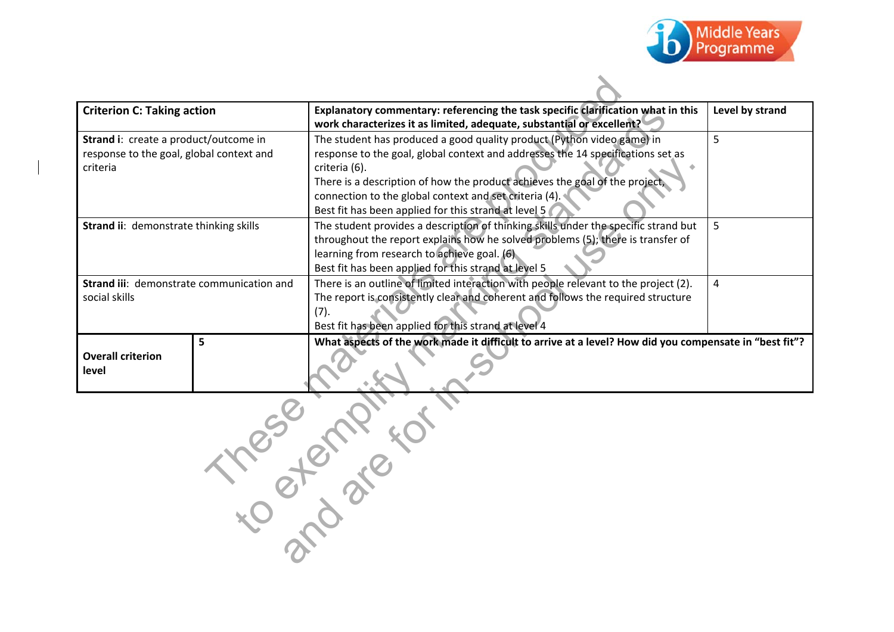

| <b>Criterion C: Taking action</b>                                                             | Explanatory commentary: referencing the task specific clarification what in this<br>work characterizes it as limited, adequate, substantial or excellent?                                                                                                                                                                                                                   | Level by strand |
|-----------------------------------------------------------------------------------------------|-----------------------------------------------------------------------------------------------------------------------------------------------------------------------------------------------------------------------------------------------------------------------------------------------------------------------------------------------------------------------------|-----------------|
| Strand i: create a product/outcome in<br>response to the goal, global context and<br>criteria | The student has produced a good quality product (Python video game) in<br>response to the goal, global context and addresses the 14 specifications set as<br>criteria (6).<br>There is a description of how the product achieves the goal of the project,<br>connection to the global context and set criteria (4).<br>Best fit has been applied for this strand at level 5 | 5               |
| Strand ii: demonstrate thinking skills                                                        | The student provides a description of thinking skills under the specific strand but<br>throughout the report explains how he solved problems (5); there is transfer of<br>learning from research to achieve goal. (6)<br>Best fit has been applied for this strand at level 5                                                                                               | 5               |
| Strand iii: demonstrate communication and<br>social skills                                    | There is an outline of limited interaction with people relevant to the project (2).<br>The report is consistently clear and coherent and follows the required structure<br>(7).<br>Best fit has been applied for this strand at level 4                                                                                                                                     | 4               |
| 5<br><b>Overall criterion</b><br>level                                                        | What aspects of the work made it difficult to arrive at a level? How did you compensate in "best fit"?                                                                                                                                                                                                                                                                      |                 |
| 11500                                                                                         | otenire.                                                                                                                                                                                                                                                                                                                                                                    |                 |